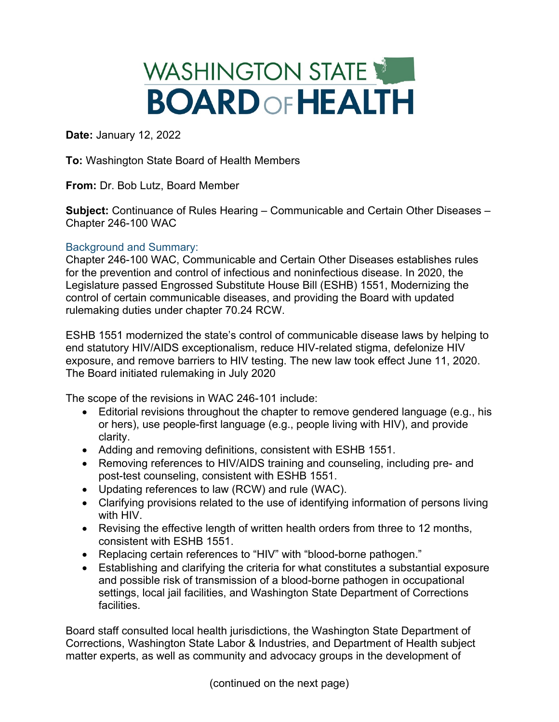## WASHINGTON STATE **BOARDOFHEALTH**

**Date:** January 12, 2022

**To:** Washington State Board of Health Members

**From:** Dr. Bob Lutz, Board Member

**Subject:** Continuance of Rules Hearing – Communicable and Certain Other Diseases – Chapter 246-100 WAC

## Background and Summary:

Chapter 246-100 WAC, Communicable and Certain Other Diseases establishes rules for the prevention and control of infectious and noninfectious disease. In 2020, the Legislature passed Engrossed Substitute House Bill (ESHB) 1551, Modernizing the control of certain communicable diseases, and providing the Board with updated rulemaking duties under chapter 70.24 RCW.

ESHB 1551 modernized the state's control of communicable disease laws by helping to end statutory HIV/AIDS exceptionalism, reduce HIV-related stigma, defelonize HIV exposure, and remove barriers to HIV testing. The new law took effect June 11, 2020. The Board initiated rulemaking in July 2020

The scope of the revisions in WAC 246-101 include:

- Editorial revisions throughout the chapter to remove gendered language (e.g., his or hers), use people-first language (e.g., people living with HIV), and provide clarity.
- Adding and removing definitions, consistent with ESHB 1551.
- Removing references to HIV/AIDS training and counseling, including pre- and post-test counseling, consistent with ESHB 1551.
- Updating references to law (RCW) and rule (WAC).
- Clarifying provisions related to the use of identifying information of persons living with HIV.
- Revising the effective length of written health orders from three to 12 months, consistent with ESHB 1551.
- Replacing certain references to "HIV" with "blood-borne pathogen."
- Establishing and clarifying the criteria for what constitutes a substantial exposure and possible risk of transmission of a blood-borne pathogen in occupational settings, local jail facilities, and Washington State Department of Corrections facilities.

Board staff consulted local health jurisdictions, the Washington State Department of Corrections, Washington State Labor & Industries, and Department of Health subject matter experts, as well as community and advocacy groups in the development of

(continued on the next page)